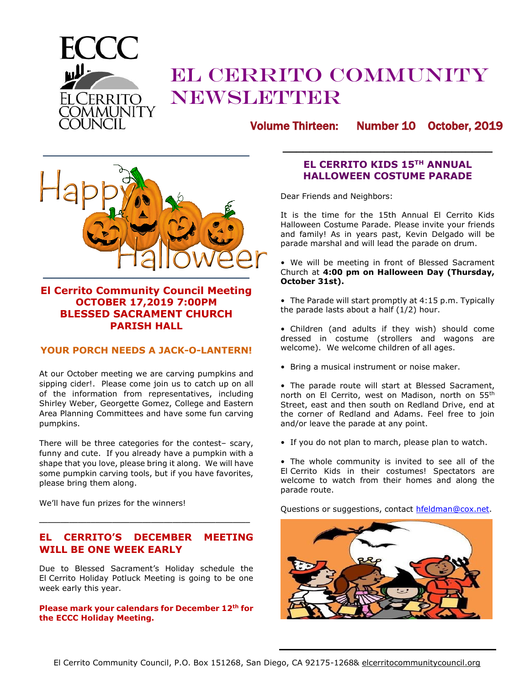

# EL CERRITO COMMUNITY NEWSLETTER

Volume Thirteen: Number 10 October, 2019



### **El Cerrito Community Council Meeting OCTOBER 17,2019 7:00PM BLESSED SACRAMENT CHURCH PARISH HALL**

#### **YOUR PORCH NEEDS A JACK-O-LANTERN!**

At our October meeting we are carving pumpkins and sipping cider!. Please come join us to catch up on all of the information from representatives, including Shirley Weber, Georgette Gomez, College and Eastern Area Planning Committees and have some fun carving pumpkins.

There will be three categories for the contest– scary, funny and cute. If you already have a pumpkin with a shape that you love, please bring it along. We will have some pumpkin carving tools, but if you have favorites, please bring them along.

We'll have fun prizes for the winners!

#### **EL CERRITO'S DECEMBER MEETING WILL BE ONE WEEK EARLY**

**\_\_\_\_\_\_\_\_\_\_\_\_\_\_\_\_\_\_\_\_\_\_\_\_\_\_\_\_\_\_\_\_\_\_\_\_\_\_\_\_\_\_\_\_\_\_\_\_\_**

Due to Blessed Sacrament's Holiday schedule the El Cerrito Holiday Potluck Meeting is going to be one week early this year.

**Please mark your calendars for December 12th for the ECCC Holiday Meeting.**

#### **EL CERRITO KIDS 15TH ANNUAL HALLOWEEN COSTUME PARADE**

**\_\_\_\_\_\_\_\_\_\_\_\_\_\_\_\_\_\_\_\_\_\_\_\_\_\_\_\_\_\_\_**

Dear Friends and Neighbors:

It is the time for the 15th Annual El Cerrito Kids Halloween Costume Parade. Please invite your friends and family! As in years past, Kevin Delgado will be parade marshal and will lead the parade on drum.

• We will be meeting in front of Blessed Sacrament Church at **4:00 pm on Halloween Day (Thursday, October 31st).**

• The Parade will start promptly at 4:15 p.m. Typically the parade lasts about a half (1/2) hour.

• Children (and adults if they wish) should come dressed in costume (strollers and wagons are welcome). We welcome children of all ages.

- Bring a musical instrument or noise maker.
- The parade route will start at Blessed Sacrament, north on El Cerrito, west on Madison, north on 55th Street, east and then south on Redland Drive, end at the corner of Redland and Adams. Feel free to join and/or leave the parade at any point.
- If you do not plan to march, please plan to watch.
- The whole community is invited to see all of the El Cerrito Kids in their costumes! Spectators are welcome to watch from their homes and along the parade route.

Questions or suggestions, contact [hfeldman@cox.net](mailto:hfeldman@cox.net).

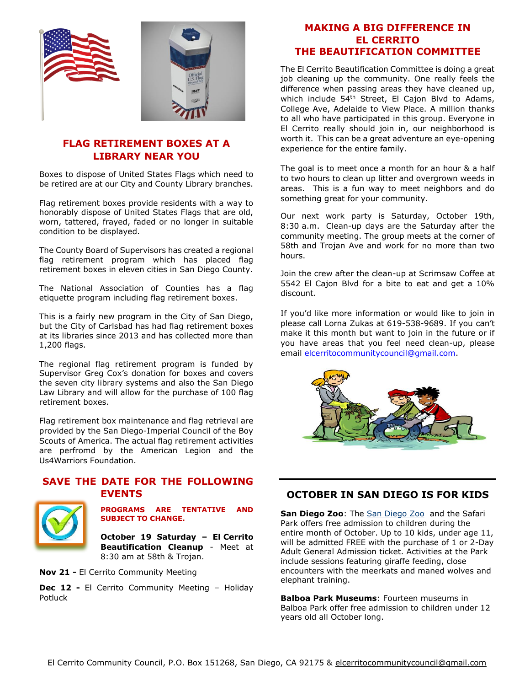

#### **FLAG RETIREMENT BOXES AT A LIBRARY NEAR YOU**

Boxes to dispose of United States Flags which need to be retired are at our City and County Library branches.

Flag retirement boxes provide residents with a way to honorably dispose of United States Flags that are old, worn, tattered, frayed, faded or no longer in suitable condition to be displayed.

The County Board of Supervisors has created a regional flag retirement program which has placed flag retirement boxes in eleven cities in San Diego County.

The National Association of Counties has a flag etiquette program including flag retirement boxes.

This is a fairly new program in the City of San Diego, but the City of Carlsbad has had flag retirement boxes at its libraries since 2013 and has collected more than 1,200 flags.

The regional flag retirement program is funded by Supervisor Greg Cox's donation for boxes and covers the seven city library systems and also the San Diego Law Library and will allow for the purchase of 100 flag retirement boxes.

Flag retirement box maintenance and flag retrieval are provided by the San Diego-Imperial Council of the Boy Scouts of America. The actual flag retirement activities are perfromd by the American Legion and the Us4Warriors Foundation.

#### **SAVE THE DATE FOR THE FOLLOWING EVENTS**



#### **PROGRAMS ARE TENTATIVE AND SUBJECT TO CHANGE.**

**October 19 Saturday – El Cerrito Beautification Cleanup** - Meet at 8:30 am at 58th & Trojan.

**Nov 21 -** El Cerrito Community Meeting

**Dec 12 -** El Cerrito Community Meeting – Holiday **Potluck** 

#### **MAKING A BIG DIFFERENCE IN EL CERRITO THE BEAUTIFICATION COMMITTEE**

The El Cerrito Beautification Committee is doing a great job cleaning up the community. One really feels the difference when passing areas they have cleaned up, which include 54<sup>th</sup> Street, El Cajon Blvd to Adams, College Ave, Adelaide to View Place. A million thanks to all who have participated in this group. Everyone in El Cerrito really should join in, our neighborhood is worth it. This can be a great adventure an eye-opening experience for the entire family.

The goal is to meet once a month for an hour & a half to two hours to clean up litter and overgrown weeds in areas. This is a fun way to meet neighbors and do something great for your community.

Our next work party is Saturday, October 19th, 8:30 a.m. Clean-up days are the Saturday after the community meeting. The group meets at the corner of 58th and Trojan Ave and work for no more than two hours.

Join the crew after the clean-up at Scrimsaw Coffee at 5542 El Cajon Blvd for a bite to eat and get a 10% discount.

If you'd like more information or would like to join in please call Lorna Zukas at 619-538-9689. If you can't make it this month but want to join in the future or if you have areas that you feel need clean-up, please email [elcerritocommunitycouncil@gmail.com.](mailto:elcerritocommunitycouncil@gmail.com)



#### **OCTOBER IN SAN DIEGO IS FOR KIDS**

**[San Diego Zoo](https://www.sandiego.com/san-diego-zoo):** The San Diego Zoo and the Safari Park offers free admission to children during the entire month of October. Up to 10 kids, under age 11, will be admitted FREE with the purchase of 1 or 2-Day Adult General Admission ticket. Activities at the Park include sessions featuring giraffe feeding, close encounters with the meerkats and maned wolves and elephant training.

**Balboa Park Museums**: Fourteen museums in Balboa Park offer free admission to children under 12 years old all October long.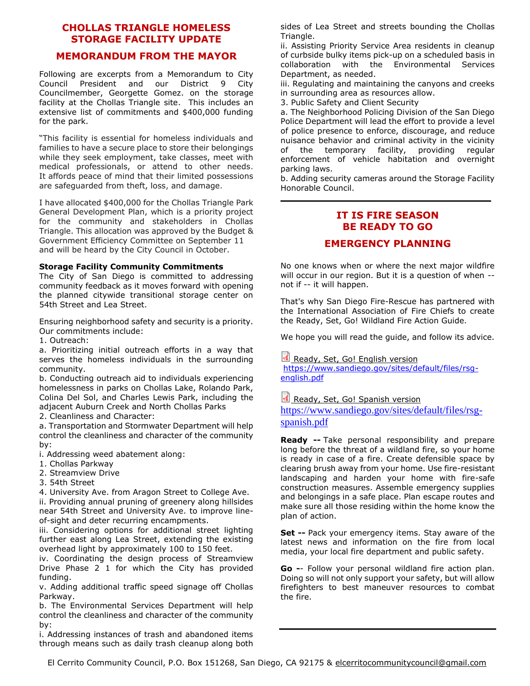#### **CHOLLAS TRIANGLE HOMELESS STORAGE FACILITY UPDATE**

#### **MEMORANDUM FROM THE MAYOR**

Following are excerpts from a Memorandum to City Council President and our District 9 City Councilmember, Georgette Gomez. on the storage facility at the Chollas Triangle site. This includes an extensive list of commitments and \$400,000 funding for the park.

"This facility is essential for homeless individuals and families to have a secure place to store their belongings while they seek employment, take classes, meet with medical professionals, or attend to other needs. It affords peace of mind that their limited possessions are safeguarded from theft, loss, and damage.

I have allocated \$400,000 for the Chollas Triangle Park General Development Plan, which is a priority project for the community and stakeholders in Chollas Triangle. This allocation was approved by the Budget & Government Efficiency Committee on September 11 and will be heard by the City Council in October.

#### **Storage Facility Community Commitments**

The City of San Diego is committed to addressing community feedback as it moves forward with opening the planned citywide transitional storage center on 54th Street and Lea Street.

Ensuring neighborhood safety and security is a priority. Our commitments include:

1. Outreach:

a. Prioritizing initial outreach efforts in a way that serves the homeless individuals in the surrounding community.

b. Conducting outreach aid to individuals experiencing homelessness in parks on Chollas Lake, Rolando Park, Colina Del Sol, and Charles Lewis Park, including the adjacent Auburn Creek and North Chollas Parks

2. Cleanliness and Character:

a. Transportation and Stormwater Department will help control the cleanliness and character of the community by:

i. Addressing weed abatement along:

- 1. Chollas Parkway
- 2. Streamview Drive
- 3. 54th Street

4. University Ave. from Aragon Street to College Ave. ii. Providing annual pruning of greenery along hillsides near 54th Street and University Ave. to improve lineof-sight and deter recurring encampments.

iii. Considering options for additional street lighting further east along Lea Street, extending the existing overhead light by approximately 100 to 150 feet.

iv. Coordinating the design process of Streamview Drive Phase 2 1 for which the City has provided funding.

v. Adding additional traffic speed signage off Chollas Parkway.

b. The Environmental Services Department will help control the cleanliness and character of the community by:

i. Addressing instances of trash and abandoned items through means such as daily trash cleanup along both sides of Lea Street and streets bounding the Chollas Triangle.

ii. Assisting Priority Service Area residents in cleanup of curbside bulky items pick-up on a scheduled basis in collaboration with the Environmental Services Department, as needed.

iii. Regulating and maintaining the canyons and creeks in surrounding area as resources allow.

3. Public Safety and Client Security

a. The Neighborhood Policing Division of the San Diego Police Department will lead the effort to provide a level of police presence to enforce, discourage, and reduce nuisance behavior and criminal activity in the vicinity of the temporary facility, providing regular enforcement of vehicle habitation and overnight parking laws.

b. Adding security cameras around the Storage Facility Honorable Council. **\_\_\_\_\_\_\_\_\_\_\_\_\_\_\_\_\_\_\_\_\_\_\_\_\_\_\_\_\_\_\_\_\_\_\_\_\_\_**

#### **IT IS FIRE SEASON BE READY TO GO**

#### **EMERGENCY PLANNING**

No one knows when or where the next major wildfire will occur in our region. But it is a question of when - not if -- it will happen.

That's why San Diego Fire-Rescue has partnered with the International Association of Fire Chiefs to create the Ready, Set, Go! Wildland Fire Action Guide.

We hope you will read the guide, and follow its advice.

[Ready, Set, Go! English version](https://www.sandiego.gov/sites/default/files/rsg-english.pdf) [https://www.sandiego.gov/sites/default/files/rsg](https://www.sandiego.gov/sites/default/files/rsg-english.pdf)[english.pdf](https://www.sandiego.gov/sites/default/files/rsg-english.pdf)

[Ready, Set, Go! Spanish version](https://www.sandiego.gov/sites/default/files/rsg-spanish.pdf) [https://www.sandiego.gov/sites/default/files/rsg](https://www.sandiego.gov/sites/default/files/rsg-spanish.pdf)[spanish.pdf](https://www.sandiego.gov/sites/default/files/rsg-spanish.pdf)

**Ready --** Take personal responsibility and prepare long before the threat of a wildland fire, so your home is ready in case of a fire. Create defensible space by clearing brush away from your home. Use fire-resistant landscaping and harden your home with fire-safe construction measures. Assemble emergency supplies and belongings in a safe place. Plan escape routes and make sure all those residing within the home know the plan of action.

**Set --** Pack your emergency items. Stay aware of the latest news and information on the fire from local media, your local fire department and public safety.

**Go -**- Follow your personal wildland fire action plan. Doing so will not only support your safety, but will allow firefighters to best maneuver resources to combat the fire.

El Cerrito Community Council, P.O. Box 151268, San Diego, CA 92175 & elcerritocommunitycouncil@gmail.com